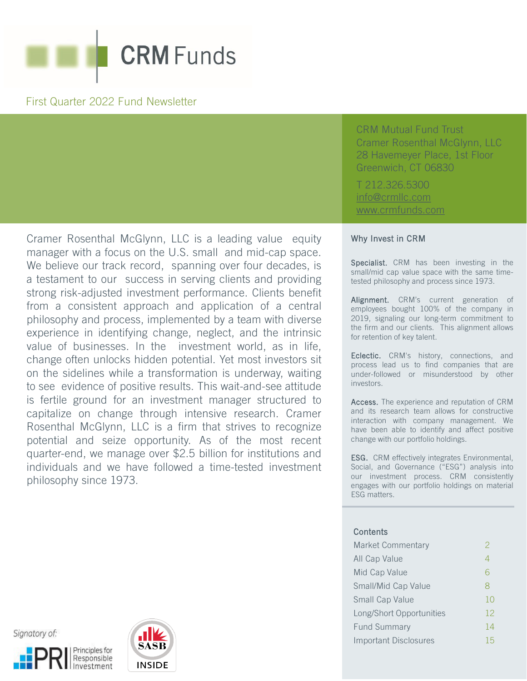

### First Quarter 2022 Fund Newsletter

Cramer Rosenthal McGlynn, LLC is a leading value equity manager with a focus on the U.S. small and mid-cap space. We believe our track record, spanning over four decades, is a testament to our success in serving clients and providing strong risk-adjusted investment performance. Clients benefit from a consistent approach and application of a central philosophy and process, implemented by a team with diverse experience in identifying change, neglect, and the intrinsic value of businesses. In the investment world, as in life, change often unlocks hidden potential. Yet most investors sit on the sidelines while a transformation is underway, waiting to see evidence of positive results. This wait-and-see attitude is fertile ground for an investment manager structured to capitalize on change through intensive research. Cramer Rosenthal McGlynn, LLC is a firm that strives to recognize potential and seize opportunity. As of the most recent quarter-end, we manage over \$2.5 billion for institutions and individuals and we have followed a time-tested investment philosophy since 1973.

CRM Mutual Fund Trust Cramer Rosenthal McGlynn, LLC 28 Havemeyer Place, 1st Floor Greenwich, CT 06830

T 212.326.5300 [info@crmllc.com](mailto:info@crmllc.com)  [www.crmfunds.com](http://www.crmfunds.com/)

### Why Invest in CRM

Specialist. CRM has been investing in the small/mid cap value space with the same timetested philosophy and process since 1973.

Alignment. CRM's current generation of employees bought 100% of the company in 2019, signaling our long-term commitment to the firm and our clients. This alignment allows for retention of key talent.

Eclectic. CRM's history, connections, and process lead us to find companies that are under-followed or misunderstood by other investors.

Access. The experience and reputation of CRM and its research team allows for constructive interaction with company management. We have been able to identify and affect positive change with our portfolio holdings.

ESG. CRM effectively integrates Environmental, Social, and Governance ("ESG") analysis into our investment process. CRM consistently engages with our portfolio holdings on material ESG matters.

### **Contents**

| <b>Market Commentary</b> | $\mathcal{P}$  |
|--------------------------|----------------|
| All Cap Value            | $\overline{A}$ |
| Mid Cap Value            | 6              |
| Small/Mid Cap Value      | 8              |
| Small Cap Value          | 10             |
| Long/Short Opportunities | 12             |
| <b>Fund Summary</b>      | 14             |
| Important Disclosures    | 15             |
|                          |                |





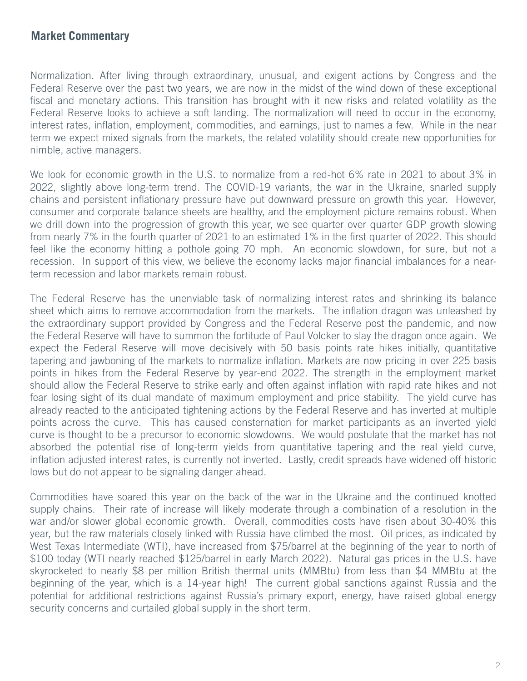### **Market Commentary**

Normalization. After living through extraordinary, unusual, and exigent actions by Congress and the Federal Reserve over the past two years, we are now in the midst of the wind down of these exceptional fiscal and monetary actions. This transition has brought with it new risks and related volatility as the Federal Reserve looks to achieve a soft landing. The normalization will need to occur in the economy, interest rates, inflation, employment, commodities, and earnings, just to names a few. While in the near term we expect mixed signals from the markets, the related volatility should create new opportunities for nimble, active managers.

We look for economic growth in the U.S. to normalize from a red-hot 6% rate in 2021 to about 3% in 2022, slightly above long-term trend. The COVID-19 variants, the war in the Ukraine, snarled supply chains and persistent inflationary pressure have put downward pressure on growth this year. However, consumer and corporate balance sheets are healthy, and the employment picture remains robust. When we drill down into the progression of growth this year, we see quarter over quarter GDP growth slowing from nearly 7% in the fourth quarter of 2021 to an estimated 1% in the first quarter of 2022. This should feel like the economy hitting a pothole going 70 mph. An economic slowdown, for sure, but not a recession. In support of this view, we believe the economy lacks major financial imbalances for a nearterm recession and labor markets remain robust.

The Federal Reserve has the unenviable task of normalizing interest rates and shrinking its balance sheet which aims to remove accommodation from the markets. The inflation dragon was unleashed by the extraordinary support provided by Congress and the Federal Reserve post the pandemic, and now the Federal Reserve will have to summon the fortitude of Paul Volcker to slay the dragon once again. We expect the Federal Reserve will move decisively with 50 basis points rate hikes initially, quantitative tapering and jawboning of the markets to normalize inflation. Markets are now pricing in over 225 basis points in hikes from the Federal Reserve by year-end 2022. The strength in the employment market should allow the Federal Reserve to strike early and often against inflation with rapid rate hikes and not fear losing sight of its dual mandate of maximum employment and price stability. The yield curve has already reacted to the anticipated tightening actions by the Federal Reserve and has inverted at multiple points across the curve. This has caused consternation for market participants as an inverted yield curve is thought to be a precursor to economic slowdowns. We would postulate that the market has not absorbed the potential rise of long-term yields from quantitative tapering and the real yield curve, inflation adjusted interest rates, is currently not inverted. Lastly, credit spreads have widened off historic lows but do not appear to be signaling danger ahead.

Commodities have soared this year on the back of the war in the Ukraine and the continued knotted supply chains. Their rate of increase will likely moderate through a combination of a resolution in the war and/or slower global economic growth. Overall, commodities costs have risen about 30-40% this year, but the raw materials closely linked with Russia have climbed the most. Oil prices, as indicated by West Texas Intermediate (WTI), have increased from \$75/barrel at the beginning of the year to north of \$100 today (WTI nearly reached \$125/barrel in early March 2022). Natural gas prices in the U.S. have skyrocketed to nearly \$8 per million British thermal units (MMBtu) from less than \$4 MMBtu at the beginning of the year, which is a 14-year high! The current global sanctions against Russia and the potential for additional restrictions against Russia's primary export, energy, have raised global energy security concerns and curtailed global supply in the short term.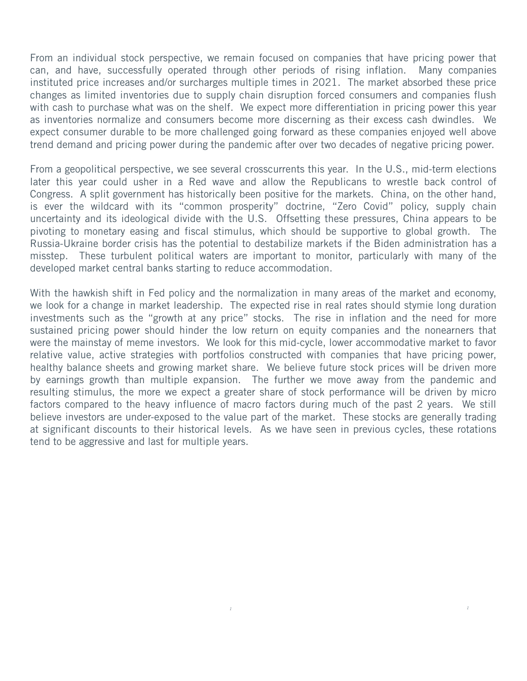From an individual stock perspective, we remain focused on companies that have pricing power that can, and have, successfully operated through other periods of rising inflation. Many companies instituted price increases and/or surcharges multiple times in 2021. The market absorbed these price changes as limited inventories due to supply chain disruption forced consumers and companies flush with cash to purchase what was on the shelf. We expect more differentiation in pricing power this year as inventories normalize and consumers become more discerning as their excess cash dwindles. We expect consumer durable to be more challenged going forward as these companies enjoyed well above trend demand and pricing power during the pandemic after over two decades of negative pricing power.

From a geopolitical perspective, we see several crosscurrents this year. In the U.S., mid-term elections later this year could usher in a Red wave and allow the Republicans to wrestle back control of Congress. A split government has historically been positive for the markets. China, on the other hand, is ever the wildcard with its "common prosperity" doctrine, "Zero Covid" policy, supply chain uncertainty and its ideological divide with the U.S. Offsetting these pressures, China appears to be pivoting to monetary easing and fiscal stimulus, which should be supportive to global growth. The Russia-Ukraine border crisis has the potential to destabilize markets if the Biden administration has a misstep. These turbulent political waters are important to monitor, particularly with many of the developed market central banks starting to reduce accommodation.

With the hawkish shift in Fed policy and the normalization in many areas of the market and economy, we look for a change in market leadership. The expected rise in real rates should stymie long duration investments such as the "growth at any price" stocks. The rise in inflation and the need for more sustained pricing power should hinder the low return on equity companies and the nonearners that were the mainstay of meme investors. We look for this mid-cycle, lower accommodative market to favor relative value, active strategies with portfolios constructed with companies that have pricing power, healthy balance sheets and growing market share. We believe future stock prices will be driven more by earnings growth than multiple expansion. The further we move away from the pandemic and resulting stimulus, the more we expect a greater share of stock performance will be driven by micro factors compared to the heavy influence of macro factors during much of the past 2 years. We still believe investors are under-exposed to the value part of the market. These stocks are generally trading at significant discounts to their historical levels. As we have seen in previous cycles, these rotations tend to be aggressive and last for multiple years.

*1 1*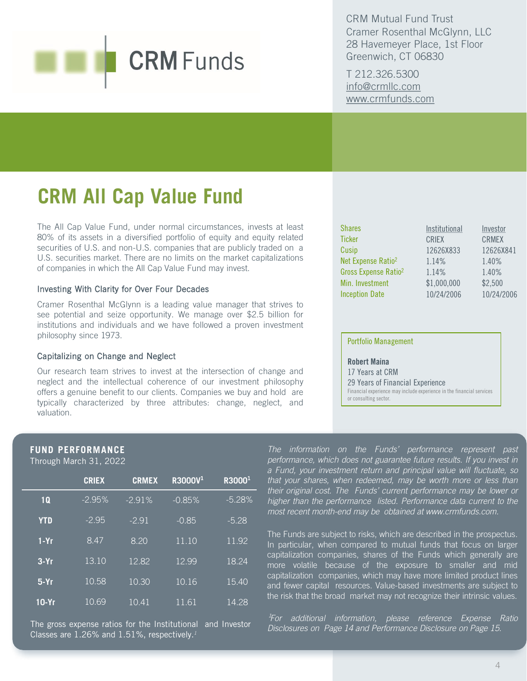CRM Mutual Fund Trust Cramer Rosenthal McGlynn, LLC 28 Havemeyer Place, 1st Floor Greenwich, CT 06830

T 212.326.5300 [info@crmllc.com](mailto:info@crmllc.com)  [www.crmfunds.com](http://www.crmfunds.com/)

## **CRM All Cap Value Fund**

The All Cap Value Fund, under normal circumstances, invests at least 80% of its assets in a diversified portfolio of equity and equity related securities of U.S. and non-U.S. companies that are publicly traded on a U.S. securities market. There are no limits on the market capitalizations of companies in which the All Cap Value Fund may invest.

### Investing With Clarity for Over Four Decades

Cramer Rosenthal McGlynn is a leading value manager that strives to see potential and seize opportunity. We manage over \$2.5 billion for institutions and individuals and we have followed a proven investment philosophy since 1973.

### Capitalizing on Change and Neglect

Our research team strives to invest at the intersection of change and neglect and the intellectual coherence of our investment philosophy offers a genuine benefit to our clients. Companies we buy and hold are typically characterized by three attributes: change, neglect, and valuation.

| <b>Shares</b>                    | Institutional | Investor     |
|----------------------------------|---------------|--------------|
| <b>Ticker</b>                    | <b>CRIEX</b>  | <b>CRMEX</b> |
| Cusip                            | 12626X833     | 12626X841    |
| Net Expense Ratio <sup>2</sup>   | 1.14%         | 1.40%        |
| Gross Expense Ratio <sup>2</sup> | 1.14%         | 1.40%        |
| Min. Investment                  | \$1,000,000   | \$2,500      |
| <b>Inception Date</b>            | 10/24/2006    | 10/24/2006   |

### Portfolio Management

Robert Maina 17 Years at CRM 29 Years of Financial Experience Financial experience may include experience in the financial services or consulting sector.

### **FUND PERFORMANCE**

Through March 31, 2022

|            | <b>CRIEX</b> | <b>CRMEX</b> | R3000V <sup>1</sup> | R3000 <sup>1</sup> |
|------------|--------------|--------------|---------------------|--------------------|
| 1Q         | $-2.95%$     | $-2.91%$     | $-0.85%$            | $-5.28%$           |
| <b>YTD</b> | $-2.95$      | $-291$       | $-0.85$             | $-5.28$            |
| $1-Yr$     | 8.47         | 8.20         | $\overline{11.10}$  | 11.92              |
| $3-Yr$     | 13.10        | 12.82        | 12.99               | 18.24              |
| $5-Yr$     | 10.58        | 10.30        | 10.16               | 15.40              |
| $10-Yr$    | 10.69        | 10.41        | 11.61               | 14.28              |

The gross expense ratios for the Institutional and Investor Classes are 1.26% and 1.51%, respectively.*<sup>1</sup>*

*The information on the Funds' performance represent past performance, which does not guarantee future results. If you invest in a Fund, your investment return and principal value will fluctuate, so that your shares, when redeemed, may be worth more or less than their original cost. The Funds' current performance may be lower or higher than the performance listed. Performance data current to the most recent month-end may be obtained at www.crmfunds.com.*

The Funds are subject to risks, which are described in the prospectus. In particular, when compared to mutual funds that focus on larger capitalization companies, shares of the Funds which generally are more volatile because of the exposure to smaller and mid capitalization companies, which may have more limited product lines and fewer capital resources. Value-based investments are subject to the risk that the broad market may not recognize their intrinsic values.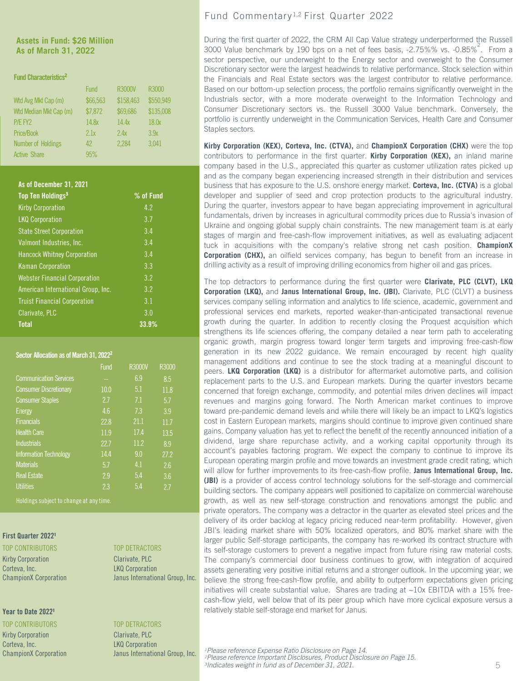### **Assets in Fund: \$26 Million As of March 31, 2022**

### Fund Characteristics<sup>2</sup>

|                           | <b>Fund</b> | <b>R3000V</b> | R3000     |  |
|---------------------------|-------------|---------------|-----------|--|
| Wtd Avg Mkt Cap (m)       | \$66,563    | \$158,463     | \$550,949 |  |
| Wtd Median Mkt Cap (m)    | \$7,872     | \$69,686      | \$135,008 |  |
| P/E FY2                   | 14.8x       | 14.4x         | 18.0x     |  |
| Price/Book                | 2.1x        | 2.4x          | 3.9x      |  |
| <b>Number of Holdings</b> | 42          | 2,284         | 3.041     |  |
| <b>Active Share</b>       | 95%         |               |           |  |

### As of December 31, 2021

| Top Ten Holdings <sup>3</sup>        | % of Fund |
|--------------------------------------|-----------|
| <b>Kirby Corporation</b>             | 4.2       |
| <b>LKQ Corporation</b>               | 3.7       |
| <b>State Street Corporation</b>      | 3.4       |
| Valmont Industries, Inc.             | 3.4       |
| <b>Hancock Whitney Corporation</b>   | 3.4       |
| <b>Kaman Corporation</b>             | 3.3       |
| <b>Webster Financial Corporation</b> | 3.2       |
| American International Group, Inc.   | 3.2       |
| <b>Truist Financial Corporation</b>  | 3.1       |
| Clarivate, PLC                       | 3.0       |
| <b>Total</b>                         | 33.9%     |

### Sector Allocation as of March 31, 2022<sup>2</sup>

|                               | <b>Fund</b> | R3000V | R3000            |
|-------------------------------|-------------|--------|------------------|
| <b>Communication Services</b> |             | 6.9    | 8.5              |
| <b>Consumer Discretionary</b> | 10.0        | 5.1    | 11.8             |
| <b>Consumer Staples</b>       | 27          | 7.1    | 5.7              |
| <b>Energy</b>                 | 4.6         | 7.3    | 3.9              |
| <b>Financials</b>             | 22.8        | 21.1   | 11.7             |
| <b>Health Care</b>            | 11.9        | 17.4   | 13.5             |
| <b>Industrials</b>            | 22.7        | 11.2   | 8.9              |
| <b>Information Technology</b> | 14.4        | 9.0    | 27.2             |
| <b>Materials</b>              | 5.7         | 4.1    | $2.\overline{6}$ |
| <b>Real Estate</b>            | 2.9         | 5.4    | $3.\overline{6}$ |
| <b>Utilities</b>              | 2.3         | 5.4    | 27               |

Holdings subject to change at any time.

### First Quarter 2022<sup>1</sup>

Kirby Corporation Clarivate, PLC Corteva, Inc. **LKQ Corporation** 

### Year to Date 2022<sup>1</sup>

Kirby Corporation Clarivate, PLC Corteva, Inc. **LKQ Corporation** 

### TOP CONTRIBUTORS TOP DETRACTORS

ChampionX Corporation Janus International Group, Inc.

### TOP CONTRIBUTORS TOP DETRACTORS

ChampionX Corporation Janus International Group, Inc.

### Fund Commentary 1,2 First Quarter 2022

During the first quarter of 2022, the CRM All Cap Value strategy underperformed the Russell 3000 Value benchmark by 190 bps on a net of fees basis, -2.75%% vs. -0.85%<sup>2</sup>. From a sector perspective, our underweight to the Energy sector and overweight to the Consumer Discretionary sector were the largest headwinds to relative performance. Stock selection within the Financials and Real Estate sectors was the largest contributor to relative performance. Based on our bottom-up selection process, the portfolio remains significantly overweight in the Industrials sector, with a more moderate overweight to the Information Technology and Consumer Discretionary sectors vs. the Russell 3000 Value benchmark. Conversely, the portfolio is currently underweight in the Communication Services, Health Care and Consumer Staples sectors.

**Kirby Corporation (KEX), Corteva, Inc. (CTVA),** and **ChampionX Corporation (CHX)** were the top contributors to performance in the first quarter. **Kirby Corporation (KEX),** an inland marine company based in the U.S., appreciated this quarter as customer utilization rates picked up and as the company began experiencing increased strength in their distribution and services business that has exposure to the U.S. onshore energy market. **Corteva, Inc. (CTVA)** is a global developer and supplier of seed and crop protection products to the agricultural industry. During the quarter, investors appear to have began appreciating improvement in agricultural fundamentals, driven by increases in agricultural commodity prices due to Russia's invasion of Ukraine and ongoing global supply chain constraints. The new management team is at early stages of margin and free-cash-flow improvement initiatives, as well as evaluating adjacent tuck in acquisitions with the company's relative strong net cash position. **ChampionX Corporation (CHX),** an oilfield services company, has begun to benefit from an increase in drilling activity as a result of improving drilling economics from higher oil and gas prices.

The top detractors to performance during the first quarter were **Clarivate, PLC (CLVT), LKQ Corporation (LKQ),** and **Janus International Group, Inc. (JBI).** Clarivate, PLC (CLVT) a business services company selling information and analytics to life science, academic, government and professional services end markets, reported weaker-than-anticipated transactional revenue growth during the quarter. In addition to recently closing the Proquest acquisition which strengthens its life sciences offering, the company detailed a near term path to accelerating organic growth, margin progress toward longer term targets and improving free-cash-flow generation in its new 2022 guidance. We remain encouraged by recent high quality management additions and continue to see the stock trading at a meaningful discount to peers. **LKQ Corporation (LKQ)** is a distributor for aftermarket automotive parts, and collision replacement parts to the U.S. and European markets. During the quarter investors became concerned that foreign exchange, commodity, and potential miles driven declines will impact revenues and margins going forward. The North American market continues to improve toward pre-pandemic demand levels and while there will likely be an impact to LKQ's logistics cost in Eastern European markets, margins should continue to improve given continued share gains. Company valuation has yet to reflect the benefit of the recently announced initiation of a dividend, large share repurchase activity, and a working capital opportunity through its account's payables factoring program. We expect the company to continue to improve its European operating margin profile and move towards an investment grade credit rating, which will allow for further improvements to its free-cash-flow profile. **Janus International Group, Inc. (JBI)** is a provider of access control technology solutions for the self-storage and commercial building sectors. The company appears well positioned to capitalize on commercial warehouse growth, as well as new self-storage construction and renovations amongst the public and private operators. The company was a detractor in the quarter as elevated steel prices and the delivery of its order backlog at legacy pricing reduced near-term profitability. However, given JBI's leading market share with 50% localized operators, and 80% market share with the larger public Self-storage participants, the company has re-worked its contract structure with its self-storage customers to prevent a negative impact from future rising raw material costs. The company's commercial door business continues to grow, with integration of acquired assets generating very positive initial returns and a stronger outlook. In the upcoming year, we believe the strong free-cash-flow profile, and ability to outperform expectations given pricing initiatives will create substantial value. Shares are trading at  $\sim$ 10x EBITDA with a 15% freecash-flow yield, well below that of its peer group which have more cyclical exposure versus a relatively stable self-storage end market for Janus.

<sup>1</sup> Please reference Expense Ratio Disclosure on Page 14.<br><sup>2</sup> Please reference Important Disclosures, Product Disclosure on Page 15. *3Indicates weight in fund as of December 31, 2021.*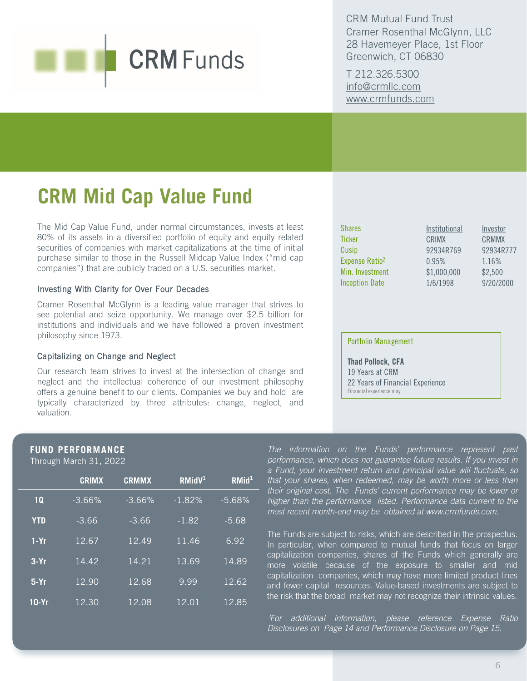CRM Mutual Fund Trust Cramer Rosenthal McGlynn, LLC 28 Havemeyer Place, 1st Floor Greenwich, CT 06830

T 212.326.5300 [info@crmllc.com](mailto:info@crmllc.com)  [www.crmfunds.com](http://www.crmfunds.com/)

## **CRM Mid Cap Value Fund**

The Mid Cap Value Fund, under normal circumstances, invests at least 80% of its assets in a diversified portfolio of equity and equity related securities of companies with market capitalizations at the time of initial purchase similar to those in the Russell Midcap Value Index ("mid cap companies") that are publicly traded on a U.S. securities market.

### Investing With Clarity for Over Four Decades

Cramer Rosenthal McGlynn is a leading value manager that strives to see potential and seize opportunity. We manage over \$2.5 billion for institutions and individuals and we have followed a proven investment philosophy since 1973.

### Capitalizing on Change and Neglect

Our research team strives to invest at the intersection of change and neglect and the intellectual coherence of our investment philosophy offers a genuine benefit to our clients. Companies we buy and hold are typically characterized by three attributes: change, neglect, and valuation.

| <b>Shares</b>              | Institutional | Investor     |
|----------------------------|---------------|--------------|
| <b>Ticker</b>              | CRIMX         | <b>CRMMX</b> |
| Cusip                      | 92934R769     | 92934R777    |
| Expense Ratio <sup>2</sup> | 0.95%         | 1.16%        |
| Min. Investment            | \$1,000,000   | \$2,500      |
| <b>Inception Date</b>      | 1/6/1998      | 9/20/2000    |

### Portfolio Management

Thad Pollock, CFA 19 Years at CRM 22 Years of Financial Experience Financial experience may

### **FUND PERFORMANCE**

Through March 31, 2022

|            | <b>CRIMX</b> | <b>CRMMX</b> | RMidV <sup>1</sup> | RMid <sup>1</sup>  |
|------------|--------------|--------------|--------------------|--------------------|
| 1Q         | $-3.66%$     | $-3.66%$     | $-1.82%$           | $-5.68%$           |
| <b>YTD</b> | $-3.66$      | $-3.66$      | $-1.82$            | $-5.68$            |
| $1-Yr$     | 12.67        | 12.49        | 11.46              | 6.92               |
| $3-Yr$     | 14.42        | 14.21        | 13.69              | 14.89              |
| $5-Yr$     | 12.90        | 12.68        | 9.99               | $12.\overline{62}$ |
| $10-Yr$    | 12.30        | 12.08        | 12.01              | 12.85              |

*The information on the Funds' performance represent past performance, which does not guarantee future results. If you invest in a Fund, your investment return and principal value will fluctuate, so that your shares, when redeemed, may be worth more or less than their original cost. The Funds' current performance may be lower or higher than the performance listed. Performance data current to the most recent month-end may be obtained at www.crmfunds.com.*

The Funds are subject to risks, which are described in the prospectus. In particular, when compared to mutual funds that focus on larger capitalization companies, shares of the Funds which generally are more volatile because of the exposure to smaller and mid capitalization companies, which may have more limited product lines and fewer capital resources. Value-based investments are subject to the risk that the broad market may not recognize their intrinsic values.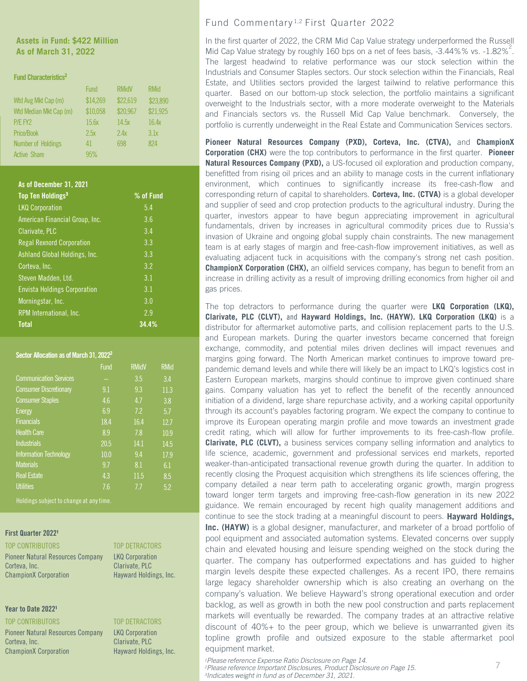### **Assets in Fund: \$422 Million As of March 31, 2022**

### Fund Characteristics<sup>2</sup>

|                           | Fund     | <b>RMidV</b> | <b>RMid</b> |
|---------------------------|----------|--------------|-------------|
| Wtd Avg Mkt Cap (m)       | \$14,269 | \$22,619     | \$23,890    |
| Wtd Median Mkt Cap (m)    | \$10,058 | \$20,967     | \$21,925    |
| P/E FY2                   | 15.6x    | 14.5x        | 16.4x       |
| Price/Book                | 2.5x     | 2.4x         | 3.1x        |
| <b>Number of Holdings</b> | 41       | 698          | 824         |
| <b>Active Share</b>       | 95%      |              |             |

### As of December 31, 2021

| Top Ten Holdings <sup>3</sup>       | % of Fund |
|-------------------------------------|-----------|
| <b>LKQ Corporation</b>              | 5.4       |
| American Financial Group, Inc.      | 3.6       |
| Clarivate, PLC                      | 3.4       |
| <b>Regal Rexnord Corporation</b>    | 3.3       |
| Ashland Global Holdings, Inc.       | 3.3       |
| Corteva, Inc.                       | 3.2       |
| Steven Madden, Ltd.                 | 3.1       |
| <b>Envista Holdings Corporation</b> | 3.1       |
| Morningstar, Inc.                   | 3.0       |
| RPM International, Inc.             | 2.9       |
| <b>Total</b>                        | 34.4%     |

### Sector Allocation as of March 31, 2022<sup>2</sup>

|                               | Fund | <b>RMidV</b> | <b>RMid</b> |
|-------------------------------|------|--------------|-------------|
| <b>Communication Services</b> |      | 3.5          | 3.4         |
| <b>Consumer Discretionary</b> | 9.1  | 9.3          | 11.3        |
| <b>Consumer Staples</b>       | 4.6  | 4.7          | 3.8         |
| Energy                        | 6.9  | 7.2          | 5.7         |
| <b>Financials</b>             | 18.4 | 16.4         | 12.7        |
| <b>Health Care</b>            | 8.9  | 7.8          | 10.9        |
| <b>Industrials</b>            | 20.5 | 14.1         | 14.5        |
| <b>Information Technology</b> | 10.0 | 9.4          | 17.9        |
| <b>Materials</b>              | 9.7  | 8.1          | 6.1         |
| <b>Real Estate</b>            | 4.3  | 11.5         | 8.5         |
| <b>Utilities</b>              | 7.6  | 77           | 5.2         |

Holdings subject to change at any time.

### First Quarter 2022<sup>1</sup>

| TOP CONTRIBUTORS |  |  |  |
|------------------|--|--|--|
|------------------|--|--|--|

Pioneer Natural Resources Company LKQ Corporation Corteva, Inc. Clarivate, PLC ChampionX Corporation Hayward Holdings, Inc.

### Year to Date 2022<sup>1</sup>

TOP CONTRIBUTORS TOP DETRACTORS Pioneer Natural Resources Company LKQ Corporation Corteva, Inc. **Community** Clarivate, PLC ChampionX Corporation Hayward Holdings, Inc.

### TOP DETRACTORS

### Fund Commentary 1,2 First Quarter 2022

In the first quarter of 2022, the CRM Mid Cap Value strategy underperformed the Russell Mid Cap Value strategy by roughly 160 bps on a net of fees basis, -3.44%% vs. -1.82%<sup>2</sup>. The largest headwind to relative performance was our stock selection within the Industrials and Consumer Staples sectors. Our stock selection within the Financials, Real Estate, and Utilities sectors provided the largest tailwind to relative performance this quarter. Based on our bottom-up stock selection, the portfolio maintains a significant overweight to the Industrials sector, with a more moderate overweight to the Materials and Financials sectors vs. the Russell Mid Cap Value benchmark. Conversely, the portfolio is currently underweight in the Real Estate and Communication Services sectors.

**Pioneer Natural Resources Company (PXD), Corteva, Inc. (CTVA),** and **ChampionX Corporation (CHX)** were the top contributors to performance in the first quarter. **Pioneer Natural Resources Company (PXD),** a US-focused oil exploration and production company, benefitted from rising oil prices and an ability to manage costs in the current inflationary environment, which continues to significantly increase its free-cash-flow and corresponding return of capital to shareholders. **Corteva, Inc. (CTVA)** is a global developer and supplier of seed and crop protection products to the agricultural industry. During the quarter, investors appear to have begun appreciating improvement in agricultural fundamentals, driven by increases in agricultural commodity prices due to Russia's invasion of Ukraine and ongoing global supply chain constraints. The new management team is at early stages of margin and free-cash-flow improvement initiatives, as well as evaluating adjacent tuck in acquisitions with the company's strong net cash position. **ChampionX Corporation (CHX),** an oilfield services company, has begun to benefit from an increase in drilling activity as a result of improving drilling economics from higher oil and gas prices.

The top detractors to performance during the quarter were **LKQ Corporation (LKQ), Clarivate, PLC (CLVT),** and **Hayward Holdings, Inc. (HAYW). LKQ Corporation (LKQ)** is a distributor for aftermarket automotive parts, and collision replacement parts to the U.S. and European markets. During the quarter investors became concerned that foreign exchange, commodity, and potential miles driven declines will impact revenues and margins going forward. The North American market continues to improve toward prepandemic demand levels and while there will likely be an impact to LKQ's logistics cost in Eastern European markets, margins should continue to improve given continued share gains. Company valuation has yet to reflect the benefit of the recently announced initiation of a dividend, large share repurchase activity, and a working capital opportunity through its account's payables factoring program. We expect the company to continue to improve its European operating margin profile and move towards an investment grade credit rating, which will allow for further improvements to its free-cash-flow profile. **Clarivate, PLC (CLVT),** a business services company selling information and analytics to life science, academic, government and professional services end markets, reported weaker-than-anticipated transactional revenue growth during the quarter. In addition to recently closing the Proquest acquisition which strengthens its life sciences offering, the company detailed a near term path to accelerating organic growth, margin progress toward longer term targets and improving free-cash-flow generation in its new 2022 guidance. We remain encouraged by recent high quality management additions and continue to see the stock trading at a meaningful discount to peers. **Hayward Holdings,**

**Inc. (HAYW)** is a global designer, manufacturer, and marketer of a broad portfolio of pool equipment and associated automation systems. Elevated concerns over supply chain and elevated housing and leisure spending weighed on the stock during the quarter. The company has outperformed expectations and has guided to higher margin levels despite these expected challenges. As a recent IPO, there remains large legacy shareholder ownership which is also creating an overhang on the company's valuation. We believe Hayward's strong operational execution and order backlog, as well as growth in both the new pool construction and parts replacement markets will eventually be rewarded. The company trades at an attractive relative discount of 40%+ to the peer group, which we believe is unwarranted given its topline growth profile and outsized exposure to the stable aftermarket pool equipment market.

<sup>1</sup>Please reference Expense Ratio Disclosure on Page 14.<br><sup>2</sup>Please reference Important Disclosures, Product Disclosure on Page 15.

*3Indicates weight in fund as of December 31, 2021.*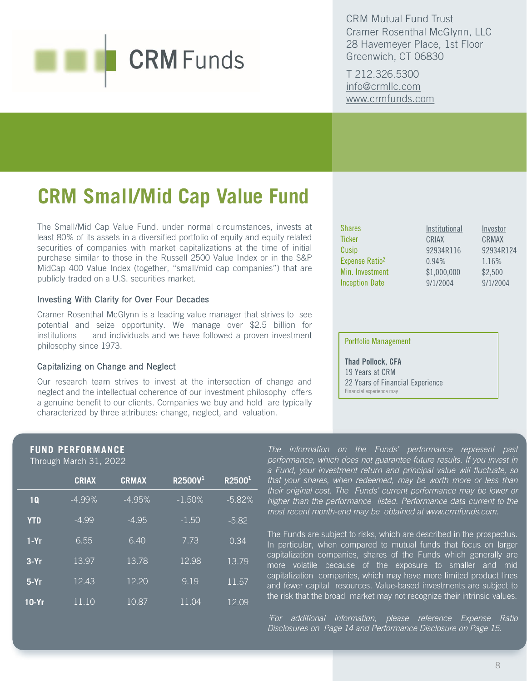CRM Mutual Fund Trust Cramer Rosenthal McGlynn, LLC 28 Havemeyer Place, 1st Floor Greenwich, CT 06830

T 212.326.5300 [info@crmllc.com](mailto:info@crmllc.com)  [www.crmfunds.com](http://www.crmfunds.com/)

## **CRM Small/Mid Cap Value Fund**

The Small/Mid Cap Value Fund, under normal circumstances, invests at least 80% of its assets in a diversified portfolio of equity and equity related securities of companies with market capitalizations at the time of initial purchase similar to those in the Russell 2500 Value Index or in the S&P MidCap 400 Value Index (together, "small/mid cap companies") that are publicly traded on a U.S. securities market.

### Investing With Clarity for Over Four Decades

Cramer Rosenthal McGlynn is a leading value manager that strives to see potential and seize opportunity. We manage over \$2.5 billion for institutions and individuals and we have followed a proven investment philosophy since 1973.

### Capitalizing on Change and Neglect

Our research team strives to invest at the intersection of change and neglect and the intellectual coherence of our investment philosophy offers a genuine benefit to our clients. Companies we buy and hold are typically characterized by three attributes: change, neglect, and valuation.

| <b>Shares</b>              | Institutional | Investor  |
|----------------------------|---------------|-----------|
| <b>Ticker</b>              | CRIAX         | CRMAX     |
| Cusip                      | 92934R116     | 92934R124 |
| Expense Ratio <sup>2</sup> | 0.94%         | 1.16%     |
| Min. Investment            | \$1,000,000   | \$2,500   |
| <b>Inception Date</b>      | 9/1/2004      | 9/1/2004  |

### Portfolio Management

Thad Pollock, CFA 19 Years at CRM 22 Years of Financial Experience Financial experience may

### **FUND PERFORMANCE**

Through March 31, 2022

|            | <b>CRIAX</b> | <b>CRMAX</b> | R2500V <sup>1</sup> | R2500 <sup>1</sup> |
|------------|--------------|--------------|---------------------|--------------------|
| 1Q         | $-4.99\%$    | $-4.95%$     | $-1.50%$            | $-5.82%$           |
| <b>YTD</b> | $-499$       | $-4.95$      | $-1.50$             | $-5.82$            |
| $1-Yr$     | 6.55         | 6.40         | 7.73                | 0.34               |
| $3-Yr$     | 13.97        | 13.78        | 12.98               | 13.79              |
| $5-Yr$     | 12.43        | 12.20        | 9.19                | 11.57              |
| $10-Yr$    | 11.10        | 10.87        | 11.04               | 12.09              |

*The information on the Funds' performance represent past performance, which does not guarantee future results. If you invest in a Fund, your investment return and principal value will fluctuate, so that your shares, when redeemed, may be worth more or less than their original cost. The Funds' current performance may be lower or higher than the performance listed. Performance data current to the most recent month-end may be obtained at www.crmfunds.com.*

The Funds are subject to risks, which are described in the prospectus. In particular, when compared to mutual funds that focus on larger capitalization companies, shares of the Funds which generally are more volatile because of the exposure to smaller and mid capitalization companies, which may have more limited product lines and fewer capital resources. Value-based investments are subject to the risk that the broad market may not recognize their intrinsic values.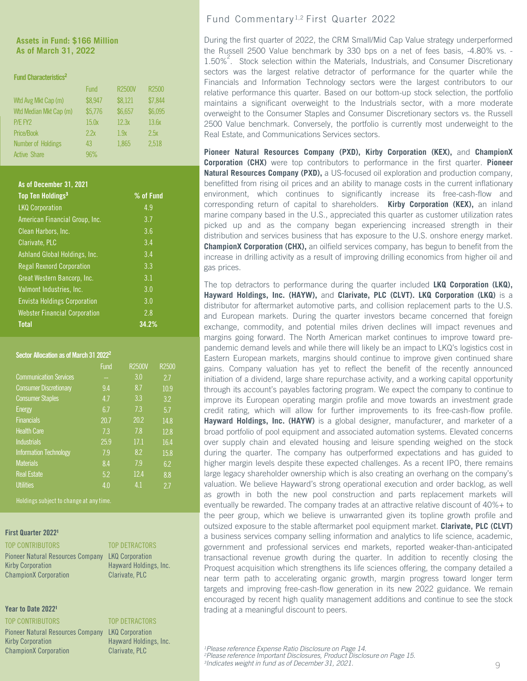### **Assets in Fund: \$166 Million As of March 31, 2022**

### Fund Characteristics<sup>2</sup>

|                           | <b>Fund</b> | <b>R2500V</b> | R2500   |
|---------------------------|-------------|---------------|---------|
| Wtd Avg Mkt Cap (m)       | \$8,947     | \$8,121       | \$7,844 |
| Wtd Median Mkt Cap (m)    | \$5,776     | \$6,657       | \$6,095 |
| P/E FY2                   | 15.0x       | 12.3x         | 13.6x   |
| Price/Book                | 2.2x        | 1.9x          | 2.5x    |
| <b>Number of Holdings</b> | 43          | 1,865         | 2,518   |
| <b>Active Share</b>       | 96%         |               |         |

### As of December 31, 2021

| Top Ten Holdings <sup>3</sup>        | % of Fund |
|--------------------------------------|-----------|
| <b>LKQ Corporation</b>               | 4.9       |
| American Financial Group, Inc.       | 3.7       |
| Clean Harbors, Inc.                  | 3.6       |
| Clarivate, PLC                       | 3.4       |
| Ashland Global Holdings, Inc.        | 3.4       |
| <b>Regal Rexnord Corporation</b>     | 3.3       |
| Great Western Bancorp, Inc.          | 3.1       |
| Valmont Industries, Inc.             | 3.0       |
| <b>Envista Holdings Corporation</b>  | 3.0       |
| <b>Webster Financial Corporation</b> | 2.8       |
| <b>Total</b>                         | 34.2%     |

### Sector Allocation as of March 31 2022<sup>2</sup>

|                               | <b>Fund</b> | <b>R2500V</b> | R <sub>2500</sub> |
|-------------------------------|-------------|---------------|-------------------|
| <b>Communication Services</b> |             | 3.0           | 2.7               |
| <b>Consumer Discretionary</b> | 9.4         | 8.7           | 10.9              |
| <b>Consumer Staples</b>       | 4.7         | 3.3           | 3.2               |
| <b>Energy</b>                 | 6.7         | 7.3           | 5.7               |
| <b>Financials</b>             | 20.7        | 20.2          | 14.8              |
| <b>Health Care</b>            | 7.3         | 7.8           | 12.8              |
| <b>Industrials</b>            | 25.9        | 17.1          | 16.4              |
| <b>Information Technology</b> | 7.9         | 8.2           | 15.8              |
| <b>Materials</b>              | 8.4         | 7.9           | 6.2               |
| <b>Real Estate</b>            | 5.2         | 12.4          | 8.8               |
| <b>Utilities</b>              | 4.0         | 4.1           | 27                |

Holdings subject to change at any time.

### First Quarter 2022<sup>1</sup>

### TOP CONTRIBUTORS TOP DETRACTORS

Pioneer Natural Resources Company LKQ Corporation Kirby Corporation **Hayward Holdings, Inc.** ChampionX Corporation Clarivate, PLC

### Year to Date 2022<sup>1</sup>

TOP CONTRIBUTORS TOP DETRACTORS Pioneer Natural Resources Company LKQ Corporation Kirby Corporation **Hayward Holdings, Inc.** ChampionX Corporation Clarivate, PLC

### Fund Commentary 1,2 First Quarter 2022

During the first quarter of 2022, the CRM Small/Mid Cap Value strategy underperformed the Russell 2500 Value benchmark by 330 bps on a net of fees basis, -4.80% vs. - 1.50%<sup>2</sup>. Stock selection within the Materials, Industrials, and Consumer Discretionary sectors was the largest relative detractor of performance for the quarter while the Financials and Information Technology sectors were the largest contributors to our relative performance this quarter. Based on our bottom-up stock selection, the portfolio maintains a significant overweight to the Industrials sector, with a more moderate overweight to the Consumer Staples and Consumer Discretionary sectors vs. the Russell 2500 Value benchmark. Conversely, the portfolio is currently most underweight to the Real Estate, and Communications Services sectors.

**Pioneer Natural Resources Company (PXD), Kirby Corporation (KEX),** and **ChampionX Corporation (CHX)** were top contributors to performance in the first quarter. **Pioneer Natural Resources Company (PXD),** a US-focused oil exploration and production company, benefitted from rising oil prices and an ability to manage costs in the current inflationary environment, which continues to significantly increase its free-cash-flow and corresponding return of capital to shareholders. **Kirby Corporation (KEX),** an inland marine company based in the U.S., appreciated this quarter as customer utilization rates picked up and as the company began experiencing increased strength in their distribution and services business that has exposure to the U.S. onshore energy market. **ChampionX Corporation (CHX),** an oilfield services company, has begun to benefit from the increase in drilling activity as a result of improving drilling economics from higher oil and gas prices.

The top detractors to performance during the quarter included **LKQ Corporation (LKQ), Hayward Holdings, Inc. (HAYW),** and **Clarivate, PLC (CLVT). LKQ Corporation (LKQ)** is a distributor for aftermarket automotive parts, and collision replacement parts to the U.S. and European markets. During the quarter investors became concerned that foreign exchange, commodity, and potential miles driven declines will impact revenues and margins going forward. The North American market continues to improve toward prepandemic demand levels and while there will likely be an impact to LKQ's logistics cost in Eastern European markets, margins should continue to improve given continued share gains. Company valuation has yet to reflect the benefit of the recently announced initiation of a dividend, large share repurchase activity, and a working capital opportunity through its account's payables factoring program. We expect the company to continue to improve its European operating margin profile and move towards an investment grade credit rating, which will allow for further improvements to its free-cash-flow profile. **Hayward Holdings, Inc. (HAYW)** is a global designer, manufacturer, and marketer of a broad portfolio of pool equipment and associated automation systems. Elevated concerns over supply chain and elevated housing and leisure spending weighed on the stock during the quarter. The company has outperformed expectations and has guided to higher margin levels despite these expected challenges. As a recent IPO, there remains large legacy shareholder ownership which is also creating an overhang on the company's valuation. We believe Hayward's strong operational execution and order backlog, as well as growth in both the new pool construction and parts replacement markets will eventually be rewarded. The company trades at an attractive relative discount of 40%+ to the peer group, which we believe is unwarranted given its topline growth profile and outsized exposure to the stable aftermarket pool equipment market. **Clarivate, PLC (CLVT)** a business services company selling information and analytics to life science, academic, government and professional services end markets, reported weaker-than-anticipated transactional revenue growth during the quarter. In addition to recently closing the Proquest acquisition which strengthens its life sciences offering, the company detailed a near term path to accelerating organic growth, margin progress toward longer term targets and improving free-cash-flow generation in its new 2022 guidance. We remain encouraged by recent high quality management additions and continue to see the stock trading at a meaningful discount to peers.

<sup>1</sup> Please reference Expense Ratio Disclosure on Page 14.<br><sup>2</sup> Please reference Important Disclosures, Product Disclosure on Page 15. *3Indicates weight in fund as of December 31, 2021.*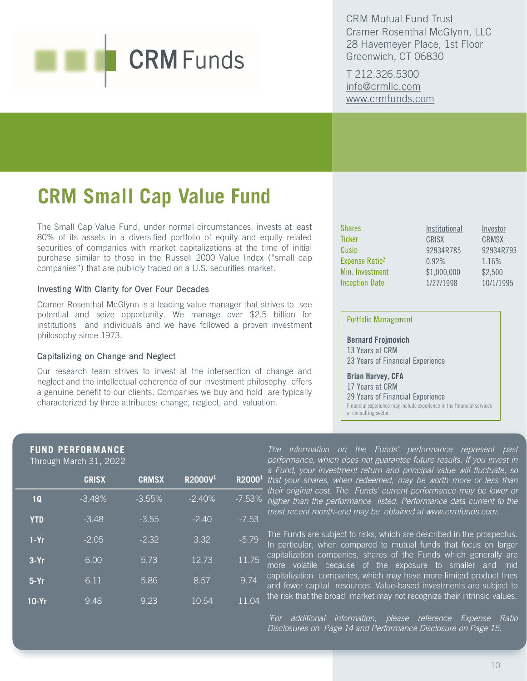CRM Mutual Fund Trust Cramer Rosenthal McGlynn, LLC 28 Havemeyer Place, 1st Floor Greenwich, CT 06830

T 212.326.5300 [info@crmllc.com](mailto:info@crmllc.com)  [www.crmfunds.com](http://www.crmfunds.com/)

## **CRM Small Cap Value Fund**

The Small Cap Value Fund, under normal circumstances, invests at least 80% of its assets in a diversified portfolio of equity and equity related securities of companies with market capitalizations at the time of initial purchase similar to those in the Russell 2000 Value Index ("small cap companies") that are publicly traded on a U.S. securities market.

### Investing With Clarity for Over Four Decades

Cramer Rosenthal McGlynn is a leading value manager that strives to see potential and seize opportunity. We manage over \$2.5 billion for institutions and individuals and we have followed a proven investment philosophy since 1973.

### Capitalizing on Change and Neglect

Our research team strives to invest at the intersection of change and neglect and the intellectual coherence of our investment philosophy offers a genuine benefit to our clients. Companies we buy and hold are typically characterized by three attributes: change, neglect, and valuation.

| <b>Shares</b>              | Institutional | Investor     |
|----------------------------|---------------|--------------|
| <b>Ticker</b>              | CRISX         | <b>CRMSX</b> |
| Cusip                      | 92934R785     | 92934R793    |
| Expense Ratio <sup>2</sup> | 0.92%         | 1.16%        |
| Min. Investment            | \$1,000,000   | \$2,500      |
| <b>Inception Date</b>      | 1/27/1998     | 10/1/1995    |

### Portfolio Management

Bernard Frojmovich 13 Years at CRM 23 Years of Financial Experience

Brian Harvey, CFA 17 Years at CRM 29 Years of Financial Experience Financial experience may include experience in the financial services or consulting sector.

### **FUND PERFORMANCE**

Through March 31, 2022

|            | <b>CRISX</b> | <b>CRMSX</b> | R2000V <sup>1</sup> | R2000 <sup>1</sup> |
|------------|--------------|--------------|---------------------|--------------------|
| 1Q         | $-3.48%$     | $-3.55%$     | $-2.40%$            | $-7.53%$           |
| <b>YTD</b> | $-3.48$      | $-3.55$      | $-2.40$             | $-7.53$            |
| $1-Yr$     | $-2.05$      | $-2.32$      | 3.32                | $-5.79$            |
| $3-Yr$     | 6.00         | 5.73         | 12.73               | 11.75              |
| $5-Yr$     | 6.11         | 5.86         | $\overline{8.57}$   | 9.74               |
| 10-Yr      | 9.48         | 9.23         | 10.54               | 11.04              |

*The information on the Funds' performance represent past performance, which does not guarantee future results. If you invest in a Fund, your investment return and principal value will fluctuate, so that your shares, when redeemed, may be worth more or less than their original cost. The Funds' current performance may be lower or higher than the performance listed. Performance data current to the most recent month-end may be obtained at www.crmfunds.com.*

The Funds are subject to risks, which are described in the prospectus. In particular, when compared to mutual funds that focus on larger capitalization companies, shares of the Funds which generally are more volatile because of the exposure to smaller and mid capitalization companies, which may have more limited product lines and fewer capital resources. Value-based investments are subject to the risk that the broad market may not recognize their intrinsic values.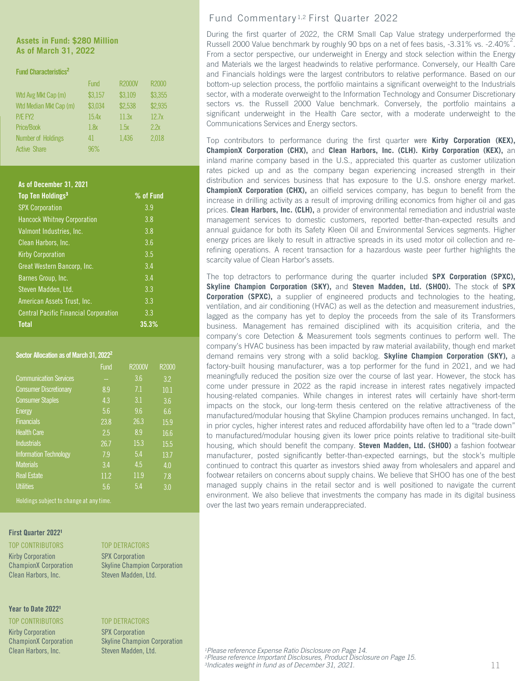**Assets in Fund: \$280 Million As of March 31, 2022**

### Fund Characteristics<sup>2</sup>

|                           | <b>Fund</b> | <b>R2000V</b> | R2000   |
|---------------------------|-------------|---------------|---------|
| Wtd Avg Mkt Cap (m)       | \$3,157     | \$3,109       | \$3,355 |
| Wtd Median Mkt Cap (m)    | \$3,034     | \$2,538       | \$2,935 |
| P/E FY2                   | 15.4x       | 11.3x         | 12.7x   |
| Price/Book                | 1.8x        | 1.5x          | 2.2x    |
| <b>Number of Holdings</b> | 41          | 1,436         | 2,018   |
| <b>Active Share</b>       | 96%         |               |         |

### As of December 31, 2021

| Top Ten Holdings <sup>3</sup>                | % of Fund |
|----------------------------------------------|-----------|
| <b>SPX Corporation</b>                       | 3.9       |
| <b>Hancock Whitney Corporation</b>           | 3.8       |
| Valmont Industries, Inc.                     | 3.8       |
| Clean Harbors, Inc.                          | 3.6       |
| <b>Kirby Corporation</b>                     | 3.5       |
| Great Western Bancorp, Inc.                  | 3.4       |
| Barnes Group, Inc.                           | 3.4       |
| Steven Madden, Ltd.                          | 3.3       |
| American Assets Trust, Inc.                  | 3.3       |
| <b>Central Pacific Financial Corporation</b> | 3.3       |
| <b>Total</b>                                 | 35.3%     |

### Sector Allocation as of March 31, 2022<sup>2</sup>

|                               | Fund | <b>R2000V</b>   | R2000 |
|-------------------------------|------|-----------------|-------|
| <b>Communication Services</b> |      | 3.6             | 3.2   |
| <b>Consumer Discretionary</b> | 8.9  | 7.1             | 10.1  |
| <b>Consumer Staples</b>       | 4.3  | 3.1             | 3.6   |
| <b>Energy</b>                 | 5.6  | 9.6             | 6.6   |
| <b>Financials</b>             | 23.8 | 26.3            | 15.9  |
| <b>Health Care</b>            | 2.5  | $\overline{8}9$ | 16.6  |
| <b>Industrials</b>            | 26.7 | 15.3            | 15.5  |
| <b>Information Technology</b> | 7.9  | 5.4             | 13.7  |
| <b>Materials</b>              | 3.4  | 4.5             | 4.0   |
| <b>Real Estate</b>            | 11.2 | 11.9            | 7.8   |
| <b>Utilities</b>              | 5.6  | 5.4             | 3.0   |

Holdings subject to change at any time.

### First Quarter 2022<sup>1</sup>

Kirby Corporation SPX Corporation Clean Harbors, Inc. Steven Madden, Ltd.

### Year to Date 2022<sup>1</sup>

TOP CONTRIBUTORS TOP DETRACTORS Kirby Corporation SPX Corporation Clean Harbors, Inc. Steven Madden, Ltd.

### TOP CONTRIBUTORS TOP DETRACTORS

ChampionX Corporation Skyline Champion Corporation

ChampionX Corporation Skyline Champion Corporation

### Fund Commentary 1,2 First Quarter 2022

During the first quarter of 2022, the CRM Small Cap Value strategy underperformed the Russell 2000 Value benchmark by roughly 90 bps on a net of fees basis, -3.31% vs. -2.40%<sup>2</sup>. From a sector perspective, our underweight in Energy and stock selection within the Energy and Materials we the largest headwinds to relative performance. Conversely, our Health Care and Financials holdings were the largest contributors to relative performance. Based on our bottom-up selection process, the portfolio maintains a significant overweight to the Industrials sector, with a moderate overweight to the Information Technology and Consumer Discretionary sectors vs. the Russell 2000 Value benchmark. Conversely, the portfolio maintains a significant underweight in the Health Care sector, with a moderate underweight to the Communications Services and Energy sectors.

Top contributors to performance during the first quarter were **Kirby Corporation (KEX), ChampionX Corporation (CHX),** and **Clean Harbors, Inc. (CLH). Kirby Corporation (KEX),** an inland marine company based in the U.S., appreciated this quarter as customer utilization rates picked up and as the company began experiencing increased strength in their distribution and services business that has exposure to the U.S. onshore energy market. **ChampionX Corporation (CHX),** an oilfield services company, has begun to benefit from the increase in drilling activity as a result of improving drilling economics from higher oil and gas prices. **Clean Harbors, Inc. (CLH),** a provider of environmental remediation and industrial waste management services to domestic customers, reported better-than-expected results and annual guidance for both its Safety Kleen Oil and Environmental Services segments. Higher energy prices are likely to result in attractive spreads in its used motor oil collection and rerefining operations. A recent transaction for a hazardous waste peer further highlights the scarcity value of Clean Harbor's assets.

The top detractors to performance during the quarter included **SPX Corporation (SPXC), Skyline Champion Corporation (SKY),** and **Steven Madden, Ltd. (SHOO).** The stock of **SPX Corporation (SPXC),** a supplier of engineered products and technologies to the heating, ventilation, and air conditioning (HVAC) as well as the detection and measurement industries, lagged as the company has yet to deploy the proceeds from the sale of its Transformers business. Management has remained disciplined with its acquisition criteria, and the company's core Detection & Measurement tools segments continues to perform well. The company's HVAC business has been impacted by raw material availability, though end market demand remains very strong with a solid backlog. **Skyline Champion Corporation (SKY),** a factory-built housing manufacturer, was a top performer for the fund in 2021, and we had meaningfully reduced the position size over the course of last year. However, the stock has come under pressure in 2022 as the rapid increase in interest rates negatively impacted housing-related companies. While changes in interest rates will certainly have short-term impacts on the stock, our long-term thesis centered on the relative attractiveness of the manufactured/modular housing that Skyline Champion produces remains unchanged. In fact, in prior cycles, higher interest rates and reduced affordability have often led to a "trade down" to manufactured/modular housing given its lower price points relative to traditional site-built housing, which should benefit the company. **Steven Madden, Ltd. (SHOO)** a fashion footwear manufacturer, posted significantly better-than-expected earnings, but the stock's multiple continued to contract this quarter as investors shied away from wholesalers and apparel and footwear retailers on concerns about supply chains. We believe that SHOO has one of the best managed supply chains in the retail sector and is well positioned to navigate the current environment. We also believe that investments the company has made in its digital business over the last two years remain underappreciated.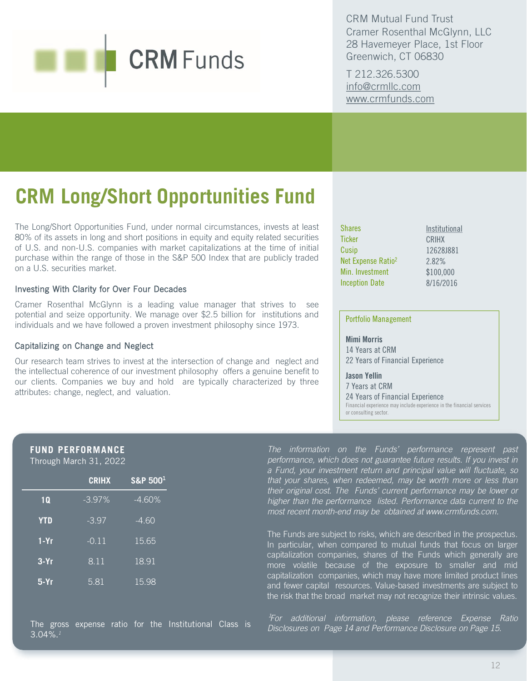CRM Mutual Fund Trust Cramer Rosenthal McGlynn, LLC 28 Havemeyer Place, 1st Floor Greenwich, CT 06830

T 212.326.5300 [info@crmllc.com](mailto:info@crmllc.com)  [www.crmfunds.com](http://www.crmfunds.com/)

## **CRM Long/Short Opportunities Fund**

The Long/Short Opportunities Fund, under normal circumstances, invests at least 80% of its assets in long and short positions in equity and equity related securities of U.S. and non-U.S. companies with market capitalizations at the time of initial purchase within the range of those in the S&P 500 Index that are publicly traded on a U.S. securities market.

### Investing With Clarity for Over Four Decades

Cramer Rosenthal McGlynn is a leading value manager that strives to see potential and seize opportunity. We manage over \$2.5 billion for institutions and individuals and we have followed a proven investment philosophy since 1973.

### Capitalizing on Change and Neglect

Our research team strives to invest at the intersection of change and neglect and the intellectual coherence of our investment philosophy offers a genuine benefit to our clients. Companies we buy and hold are typically characterized by three attributes: change, neglect, and valuation.

| <b>Shares</b>                  | Institutional |
|--------------------------------|---------------|
| Ticker                         | CRIHX         |
| Cusip                          | 12628J881     |
| Net Expense Ratio <sup>2</sup> | 2.82%         |
| Min. Investment                | \$100,000     |
| <b>Inception Date</b>          | 8/16/2016     |
|                                |               |

### Portfolio Management

or consulting sector.

Mimi Morris 14 Years at CRM 22 Years of Financial Experience

Jason Yellin 7 Years at CRM 24 Years of Financial Experience

Financial experience may include experience in the financial services

### **FUND PERFORMANCE**

Through March 31, 2022

|            | <b>CRIHX</b> | S&P 500 <sup>1</sup> |
|------------|--------------|----------------------|
| <b>1Q</b>  | $-3.97%$     | $-4.60%$             |
| <b>YTD</b> | $-3.97$      | $-4.60$              |
| $1-Yr$     | $-0.11$      | 15.65                |
| $3-Yr$     | 8.11         | $\overline{18.91}$   |
| $5-Yr$     | 5.81         | 15.98                |

*The information on the Funds' performance represent past performance, which does not guarantee future results. If you invest in a Fund, your investment return and principal value will fluctuate, so that your shares, when redeemed, may be worth more or less than their original cost. The Funds' current performance may be lower or higher than the performance listed. Performance data current to the most recent month-end may be obtained at www.crmfunds.com.*

The Funds are subject to risks, which are described in the prospectus. In particular, when compared to mutual funds that focus on larger capitalization companies, shares of the Funds which generally are more volatile because of the exposure to smaller and mid capitalization companies, which may have more limited product lines and fewer capital resources. Value-based investments are subject to the risk that the broad market may not recognize their intrinsic values.

The gross expense ratio for the Institutional Class is 3.04%.*<sup>1</sup>*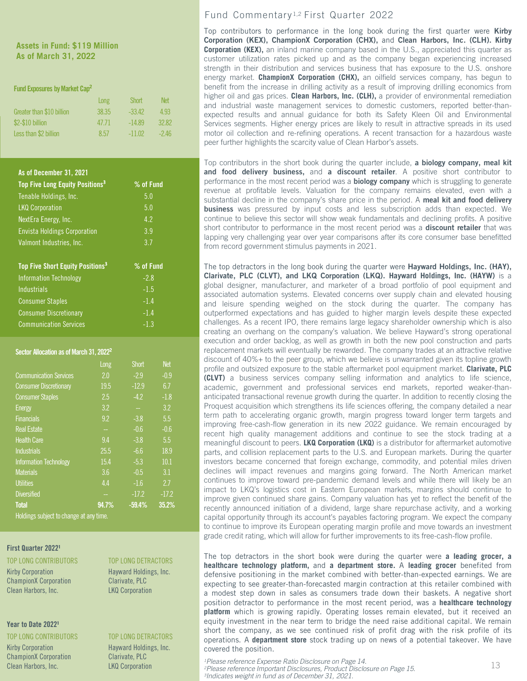### **Assets in Fund: \$119 Million As of March 31, 2022**

### Fund Exposures by Market Cap<sup>2</sup>

|                           | Long  | <b>Short</b> | Net    |
|---------------------------|-------|--------------|--------|
| Greater than \$10 billion | 38.35 | $-33.42$     | 4 93   |
| \$2-\$10 billion          | 47.71 | $-14.89$     | 32.82  |
| Less than \$2 billion     | 8.57  | $-11.02$     | $-246$ |

### As of December 31, 2021

| Top Five Long Equity Positions <sup>3</sup>        | % of Fund |
|----------------------------------------------------|-----------|
| Tenable Holdings, Inc.                             | 5.0       |
| <b>LKQ Corporation</b>                             | 5.0       |
| NextEra Energy, Inc.                               | 4.2       |
| <b>Envista Holdings Corporation</b>                | 3.9       |
| Valmont Industries, Inc.                           | 3.7       |
|                                                    |           |
|                                                    |           |
| <b>Top Five Short Equity Positions<sup>3</sup></b> | % of Fund |
| <b>Information Technology</b>                      | $-2.8$    |
| Industrials                                        | $-1.5$    |
| <b>Consumer Staples</b>                            | $-1.4$    |
| <b>Consumer Discretionary</b>                      | $-1.4$    |
| <b>Communication Services</b>                      | $-1.3$    |

### Sector Allocation as of March 31, 2022<sup>2</sup>

|                                        | Long  | <b>Short</b> | <b>Net</b> |  |  |
|----------------------------------------|-------|--------------|------------|--|--|
| <b>Communication Services</b>          | 2.0   | $-2.9$       | $-0.9$     |  |  |
| <b>Consumer Discretionary</b>          | 19.5  | $-12.9$      | 6.7        |  |  |
| <b>Consumer Staples</b>                | 2.5   | $-4.2$       | $-1.8$     |  |  |
| <b>Energy</b>                          | 3.2   |              | 3.2        |  |  |
| <b>Financials</b>                      | 9.2   | $-3.8$       | 5.5        |  |  |
| <b>Real Estate</b>                     |       | $-0.6$       | $-0.6$     |  |  |
| <b>Health Care</b>                     | 9.4   | $-3.8$       | 5.5        |  |  |
| <b>Industrials</b>                     | 25.5  | $-6.6$       | 18.9       |  |  |
| <b>Information Technology</b>          | 15.4  | $-5.3$       | 10.1       |  |  |
| <b>Materials</b>                       | 3.6   | $-0.5$       | 3.1        |  |  |
| <b>Utilities</b>                       | 4.4   | $-1.6$       | 2.7        |  |  |
| <b>Diversified</b>                     |       | $-17.2$      | $-17.2$    |  |  |
| <b>Total</b>                           | 94.7% | $-59.4%$     | 35.2%      |  |  |
| Holdings subject to change at any time |       |              |            |  |  |

Holdings subject to change at any time.

### First Quarter 2022<sup>1</sup>

### TOP LONG CONTRIBUTORS TOP LONG DETRACTORS

ChampionX Corporation Clarivate, PLC Clean Harbors, Inc. **LKQ Corporation** 

### Year to Date 20221

TOP LONG CONTRIBUTORS TOP LONG DETRACTORS Kirby Corporation **Hayward Holdings, Inc.** ChampionX Corporation<br>Clean Harbors, Inc. 69 (Clarivate, PLC)

## Kirby Corporation **Hayward Holdings, Inc.**

### Fund Commentary 1,2 First Quarter 2022

Top contributors to performance in the long book during the first quarter were Kirby Corporation (KEX), ChampionX Corporation (CHX), and Clean Harbors, Inc. (CLH). **Kirby Corporation (KEX),** an inland marine company based in the U.S., appreciated this quarter as customer utilization rates picked up and as the company began experiencing increased strength in their distribution and services business that has exposure to the U.S. onshore energy market. **ChampionX Corporation (CHX),** an oilfield services company, has begun to benefit from the increase in drilling activity as a result of improving drilling economics from higher oil and gas prices. **Clean Harbors, Inc. (CLH),** a provider of environmental remediation and industrial waste management services to domestic customers, reported better-thanexpected results and annual guidance for both its Safety Kleen Oil and Environmental Services segments. Higher energy prices are likely to result in attractive spreads in its used motor oil collection and re-refining operations. A recent transaction for a hazardous waste peer further highlights the scarcity value of Clean Harbor's assets.

Top contributors in the short book during the quarter include, a biology company, meal kit and food delivery business, and a discount retailer. A positive short contributor to performance in the most recent period was a **biology company** which is struggling to generate revenue at profitable levels. Valuation for the company remains elevated, even with a substantial decline in the company's share price in the period. A meal kit and food delivery **business** was pressured by input costs and less subscription adds than expected. We continue to believe this sector will show weak fundamentals and declining profits. A positive short contributor to performance in the most recent period was a **discount retailer** that was lapping very challenging year over year comparisons after its core consumer base benefitted from record government stimulus payments in 2021.

The top detractors in the long book during the quarter were Hayward Holdings, Inc. (HAY), Clarivate, PLC (CLVT), and LKQ Corporation (LKQ). **Hayward Holdings, Inc. (HAYW)** is a global designer, manufacturer, and marketer of a broad portfolio of pool equipment and associated automation systems. Elevated concerns over supply chain and elevated housing and leisure spending weighed on the stock during the quarter. The company has outperformed expectations and has guided to higher margin levels despite these expected challenges. As a recent IPO, there remains large legacy shareholder ownership which is also creating an overhang on the company's valuation. We believe Hayward's strong operational execution and order backlog, as well as growth in both the new pool construction and parts replacement markets will eventually be rewarded. The company trades at an attractive relative discount of 40%+ to the peer group, which we believe is unwarranted given its topline growth profile and outsized exposure to the stable aftermarket pool equipment market. **Clarivate, PLC (CLVT)** a business services company selling information and analytics to life science, academic, government and professional services end markets, reported weaker-thananticipated transactional revenue growth during the quarter. In addition to recently closing the Proquest acquisition which strengthens its life sciences offering, the company detailed a near term path to accelerating organic growth, margin progress toward longer term targets and improving free-cash-flow generation in its new 2022 guidance. We remain encouraged by recent high quality management additions and continue to see the stock trading at a meaningful discount to peers. **LKQ Corporation (LKQ)** is a distributor for aftermarket automotive parts, and collision replacement parts to the U.S. and European markets. During the quarter investors became concerned that foreign exchange, commodity, and potential miles driven declines will impact revenues and margins going forward. The North American market continues to improve toward pre-pandemic demand levels and while there will likely be an impact to LKQ's logistics cost in Eastern European markets, margins should continue to improve given continued share gains. Company valuation has yet to reflect the benefit of the recently announced initiation of a dividend, large share repurchase activity, and a working capital opportunity through its account's payables factoring program. We expect the company to continue to improve its European operating margin profile and move towards an investment grade credit rating, which will allow for further improvements to its free-cash-flow profile.

The top detractors in the short book were during the quarter were **a leading grocer, a healthcare technology platform,** and **a department store.** A **leading grocer** benefited from defensive positioning in the market combined with better-than-expected earnings. We are expecting to see greater-than-forecasted margin contraction at this retailer combined with a modest step down in sales as consumers trade down their baskets. A negative short position detractor to performance in the most recent period, was a **healthcare technology platform** which is growing rapidly. Operating losses remain elevated, but it received an equity investment in the near term to bridge the need raise additional capital. We remain short the company, as we see continued risk of profit drag with the risk profile of its operations. A **department store** stock trading up on news of a potential takeover. We have covered the position.

*1Please reference Expense Ratio Disclosure on Page 14. 2Please reference Important Disclosures, Product Disclosure on Page 15.* Clean Harbors, Inc. LKQ Corporation 13*3Indicates weight in fund as of December 31, 2021.*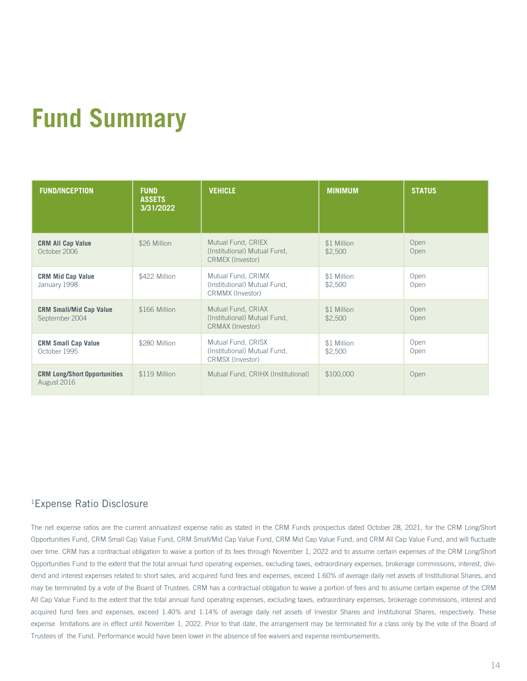## **Fund Summary**

| <b>FUND/INCEPTION</b>                              | <b>FUND</b><br><b>ASSETS</b><br>3/31/2022 | <b>VEHICLE</b>                                                                | <b>MINIMUM</b>         | <b>STATUS</b> |
|----------------------------------------------------|-------------------------------------------|-------------------------------------------------------------------------------|------------------------|---------------|
| <b>CRM All Cap Value</b><br>October 2006           | \$26 Million                              | Mutual Fund, CRIEX<br>(Institutional) Mutual Fund,<br><b>CRMEX (Investor)</b> | \$1 Million<br>\$2,500 | Open<br>Open  |
| <b>CRM Mid Cap Value</b><br>January 1998           | \$422 Million                             | Mutual Fund, CRIMX<br>(Institutional) Mutual Fund,<br>CRMMX (Investor)        | \$1 Million<br>\$2,500 | Open<br>Open  |
| <b>CRM Small/Mid Cap Value</b><br>September 2004   | \$166 Million                             | Mutual Fund, CRIAX<br>(Institutional) Mutual Fund,<br>CRMAX (Investor)        | \$1 Million<br>\$2,500 | Open<br>Open  |
| <b>CRM Small Cap Value</b><br>October 1995         | \$280 Million                             | Mutual Fund, CRISX<br>(Institutional) Mutual Fund,<br>CRMSX (Investor)        | \$1 Million<br>\$2,500 | Open<br>Open  |
| <b>CRM Long/Short Opportunities</b><br>August 2016 | \$119 Million                             | Mutual Fund, CRIHX (Institutional)                                            | \$100,000              | Open          |

### 1Expense Ratio Disclosure

The net expense ratios are the current annualized expense ratio as stated in the CRM Funds prospectus dated October 28, 2021, for the CRM Long/Short Opportunities Fund, CRM Small Cap Value Fund, CRM Small/Mid Cap Value Fund, CRM Mid Cap Value Fund, and CRM All Cap Value Fund, and will fluctuate over time. CRM has a contractual obligation to waive a portion of its fees through November 1, 2022 and to assume certain expenses of the CRM Long/Short Opportunities Fund to the extent that the total annual fund operating expenses, excluding taxes, extraordinary expenses, brokerage commissions, interest, dividend and interest expenses related to short sales, and acquired fund fees and expenses, exceed 1.60% of average daily net assets of Institutional Shares, and may be terminated by a vote of the Board of Trustees. CRM has a contractual obligation to waive a portion of fees and to assume certain expense of the CRM All Cap Value Fund to the extent that the total annual fund operating expenses, excluding taxes, extraordinary expenses, brokerage commissions, interest and acquired fund fees and expenses, exceed 1.40% and 1.14% of average daily net assets of Investor Shares and Institutional Shares, respectively. These expense limitations are in effect until November 1, 2022. Prior to that date, the arrangement may be terminated for a class only by the vote of the Board of Trustees of the Fund. Performance would have been lower in the absence of fee waivers and expense reimbursements.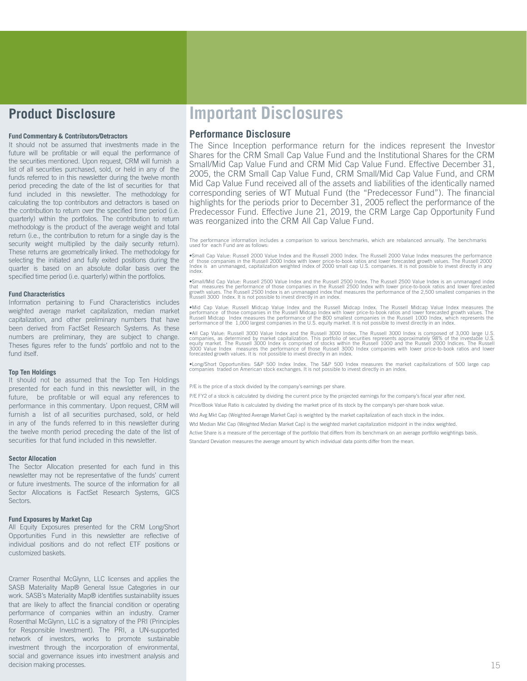### **Product Disclosure**

### **Fund Commentary & Contributors/Detractors**

It should not be assumed that investments made in the future will be profitable or will equal the performance of the securities mentioned. Upon request, CRM will furnish a list of all securities purchased, sold, or held in any of the funds referred to in this newsletter during the twelve month period preceding the date of the list of securities for that fund included in this newsletter. The methodology for calculating the top contributors and detractors is based on the contribution to return over the specified time period (i.e. quarterly) within the portfolios. The contribution to return methodology is the product of the average weight and total return (i.e., the contribution to return for a single day is the security weight multiplied by the daily security return). These returns are geometrically linked. The methodology for selecting the initiated and fully exited positions during the quarter is based on an absolute dollar basis over the specified time period (i.e. quarterly) within the portfolios.

### **Fund Characteristics**

Information pertaining to Fund Characteristics includes weighted average market capitalization, median market capitalization, and other preliminary numbers that have been derived from FactSet Research Systems. As these numbers are preliminary, they are subject to change. Theses figures refer to the funds' portfolio and not to the fund itself.

### **Top Ten Holdings**

It should not be assumed that the Top Ten Holdings presented for each fund in this newsletter will, in the future, be profitable or will equal any references to performance in this commentary. Upon request, CRM will furnish a list of all securities purchased, sold, or held in any of the funds referred to in this newsletter during the twelve month period preceding the date of the list of securities for that fund included in this newsletter.

### **Sector Allocation**

The Sector Allocation presented for each fund in this newsletter may not be representative of the funds' current or future investments. The source of the information for all Sector Allocations is FactSet Research Systems, GICS Sectors.

### **Fund Exposures by Market Cap**

All Equity Exposures presented for the CRM Long/Short Opportunities Fund in this newsletter are reflective of individual positions and do not reflect ETF positions or customized baskets.

Cramer Rosenthal McGlynn, LLC licenses and applies the SASB Materiality Map® General Issue Categories in our work. SASB's Materiality Map® identifies sustainability issues that are likely to affect the financial condition or operating performance of companies within an industry. Cramer Rosenthal McGlynn, LLC is a signatory of the PRI (Principles for Responsible Investment). The PRI, a UN-supported network of investors, works to promote sustainable investment through the incorporation of environmental, social and governance issues into investment analysis and decision making processes. 15

### **Important Disclosures**

### **Performance Disclosure**

The Since Inception performance return for the indices represent the Investor Shares for the CRM Small Cap Value Fund and the Institutional Shares for the CRM Small/Mid Cap Value Fund and CRM Mid Cap Value Fund. Effective December 31, 2005, the CRM Small Cap Value Fund, CRM Small/Mid Cap Value Fund, and CRM Mid Cap Value Fund received all of the assets and liabilities of the identically named corresponding series of WT Mutual Fund (the "Predecessor Fund"). The financial highlights for the periods prior to December 31, 2005 reflect the performance of the Predecessor Fund. Effective June 21, 2019, the CRM Large Cap Opportunity Fund was reorganized into the CRM All Cap Value Fund.

The performance information includes a comparison to various benchmarks, which are rebalanced annually. The benchmarks<br>used for each Fund are as follows:

•Small Cap Value: Russell 2000 Value Index and the Russell 2000 Index. The Russell 2000 Value Index measures the performance<br>of those companies in the Russell 2000 Index with lower price-to-book ratios and lower forecasted

•Small/Mid Cap Value: Russell 2500 Value Index and the Russell 2500 Index. The Russell 2500 Value Index is an unmanaged index and the that measures the performance of those companies in the Russell and the area growth valu

•Mid Cap Value: Russell Midcap Value Index and the Russell Midcap Index. The Russell Midcap Value Index measures the performance of those companies in the Russell Midcap Value Index measures the Russell Midcap Index measur

•All Cap Value: Russell 3000 Value Index and the Russell 3000 Index. The Russell 3000 Index is composed of 3,000 large U.S. companies, as determined by market capitalization. This portfolio of securities represents approxi

•Long/Short Opportunities: S&P <sup>500</sup> Index Index. The S&P <sup>500</sup> Index measures the market capitalizations of <sup>500</sup> large cap companies traded on American stock exchanges. It is not possible to invest directly in an index.

P/E is the price of a stock divided by the company's earnings per share.

P/E FY2 of a stock is calculated by dividing the current price by the projected earnings for the company's fiscal year after next.

Price/Book Value Ratio is calculated by dividing the market price of its stock by the company's per-share book value.

Wtd Avg Mkt Cap (Weighted Average Market Cap) is weighted by the market capitalization of each stock in the index.

Wtd Median Mkt Cap (Weighted Median Market Cap) is the weighted market capitalization midpoint in the index weighted.

Active Share is a measure of the percentage of the portfolio that differs from its benchmark on an average portfolio weightings basis.

Standard Deviation measures the average amount by which individual data points differ from the mean.